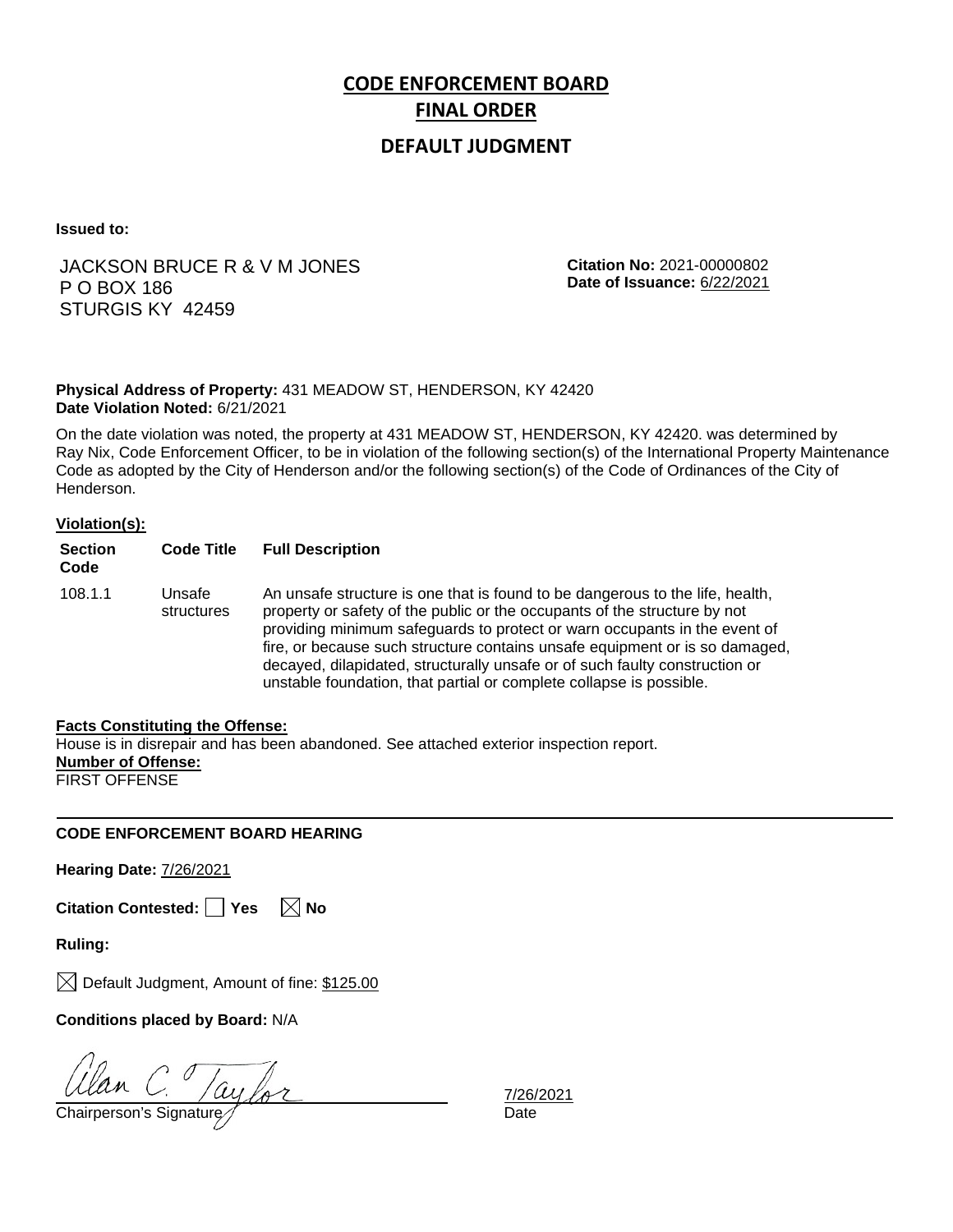# **CODE ENFORCEMENT BOARD FINAL ORDER**

### **DEFAULT JUDGMENT**

**Issued to:**

### JACKSON BRUCE R & V M JONES P O BOX 186 STURGIS KY 42459

**Citation No:** 2021-00000802 **Date of Issuance:** 6/22/2021

#### **Physical Address of Property:** 431 MEADOW ST, HENDERSON, KY 42420 **Date Violation Noted:** 6/21/2021

On the date violation was noted, the property at 431 MEADOW ST, HENDERSON, KY 42420. was determined by Ray Nix, Code Enforcement Officer, to be in violation of the following section(s) of the International Property Maintenance Code as adopted by the City of Henderson and/or the following section(s) of the Code of Ordinances of the City of Henderson.

#### **Violation(s):**

| <b>Section</b><br>Code | <b>Code Title</b>    | <b>Full Description</b>                                                                                                                                                                                                                                                                                                                                                                                                                                                      |
|------------------------|----------------------|------------------------------------------------------------------------------------------------------------------------------------------------------------------------------------------------------------------------------------------------------------------------------------------------------------------------------------------------------------------------------------------------------------------------------------------------------------------------------|
| 108.1.1                | Unsafe<br>structures | An unsafe structure is one that is found to be dangerous to the life, health,<br>property or safety of the public or the occupants of the structure by not<br>providing minimum safeguards to protect or warn occupants in the event of<br>fire, or because such structure contains unsafe equipment or is so damaged,<br>decayed, dilapidated, structurally unsafe or of such faulty construction or<br>unstable foundation, that partial or complete collapse is possible. |

#### **Facts Constituting the Offense:**

House is in disrepair and has been abandoned. See attached exterior inspection report. **Number of Offense:** FIRST OFFENSE

#### **CODE ENFORCEMENT BOARD HEARING**

**Hearing Date:** 7/26/2021

**Citation Contested:** □ Yes  $\ \ \boxed{\times}$  No

**Ruling:**

 $\boxtimes$  Default Judgment, Amount of fine: \$125.00

**Conditions placed by Board:** N/A

Clan C. Jaylor

7/26/2021<br>Date